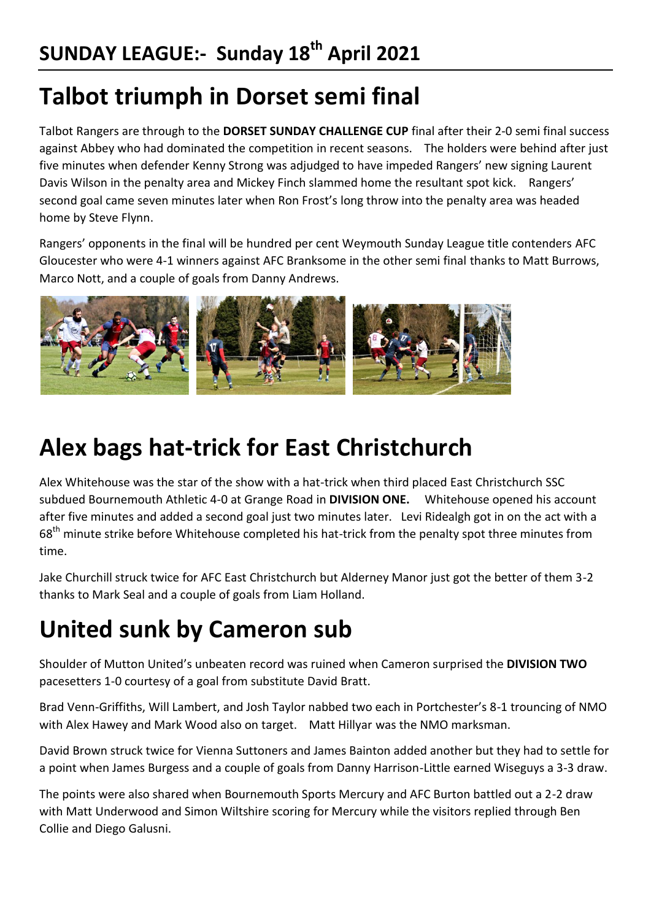### **Talbot triumph in Dorset semi final**

Talbot Rangers are through to the **DORSET SUNDAY CHALLENGE CUP** final after their 2-0 semi final success against Abbey who had dominated the competition in recent seasons. The holders were behind after just five minutes when defender Kenny Strong was adjudged to have impeded Rangers' new signing Laurent Davis Wilson in the penalty area and Mickey Finch slammed home the resultant spot kick. Rangers' second goal came seven minutes later when Ron Frost's long throw into the penalty area was headed home by Steve Flynn.

Rangers' opponents in the final will be hundred per cent Weymouth Sunday League title contenders AFC Gloucester who were 4-1 winners against AFC Branksome in the other semi final thanks to Matt Burrows, Marco Nott, and a couple of goals from Danny Andrews.



#### **Alex bags hat-trick for East Christchurch**

Alex Whitehouse was the star of the show with a hat-trick when third placed East Christchurch SSC subdued Bournemouth Athletic 4-0 at Grange Road in **DIVISION ONE.** Whitehouse opened his account after five minutes and added a second goal just two minutes later. Levi Ridealgh got in on the act with a 68<sup>th</sup> minute strike before Whitehouse completed his hat-trick from the penalty spot three minutes from time.

Jake Churchill struck twice for AFC East Christchurch but Alderney Manor just got the better of them 3-2 thanks to Mark Seal and a couple of goals from Liam Holland.

# **United sunk by Cameron sub**

Shoulder of Mutton United's unbeaten record was ruined when Cameron surprised the **DIVISION TWO** pacesetters 1-0 courtesy of a goal from substitute David Bratt.

Brad Venn-Griffiths, Will Lambert, and Josh Taylor nabbed two each in Portchester's 8-1 trouncing of NMO with Alex Hawey and Mark Wood also on target. Matt Hillyar was the NMO marksman.

David Brown struck twice for Vienna Suttoners and James Bainton added another but they had to settle for a point when James Burgess and a couple of goals from Danny Harrison-Little earned Wiseguys a 3-3 draw.

The points were also shared when Bournemouth Sports Mercury and AFC Burton battled out a 2-2 draw with Matt Underwood and Simon Wiltshire scoring for Mercury while the visitors replied through Ben Collie and Diego Galusni.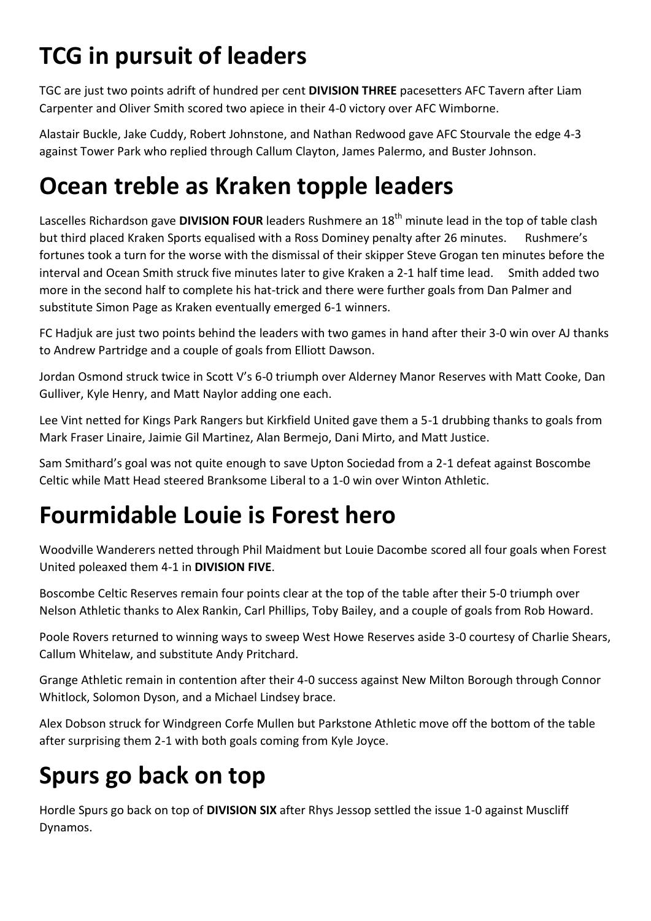# **TCG in pursuit of leaders**

TGC are just two points adrift of hundred per cent **DIVISION THREE** pacesetters AFC Tavern after Liam Carpenter and Oliver Smith scored two apiece in their 4-0 victory over AFC Wimborne.

Alastair Buckle, Jake Cuddy, Robert Johnstone, and Nathan Redwood gave AFC Stourvale the edge 4-3 against Tower Park who replied through Callum Clayton, James Palermo, and Buster Johnson.

## **Ocean treble as Kraken topple leaders**

Lascelles Richardson gave **DIVISION FOUR** leaders Rushmere an 18th minute lead in the top of table clash but third placed Kraken Sports equalised with a Ross Dominey penalty after 26 minutes. Rushmere's fortunes took a turn for the worse with the dismissal of their skipper Steve Grogan ten minutes before the interval and Ocean Smith struck five minutes later to give Kraken a 2-1 half time lead. Smith added two more in the second half to complete his hat-trick and there were further goals from Dan Palmer and substitute Simon Page as Kraken eventually emerged 6-1 winners.

FC Hadjuk are just two points behind the leaders with two games in hand after their 3-0 win over AJ thanks to Andrew Partridge and a couple of goals from Elliott Dawson.

Jordan Osmond struck twice in Scott V's 6-0 triumph over Alderney Manor Reserves with Matt Cooke, Dan Gulliver, Kyle Henry, and Matt Naylor adding one each.

Lee Vint netted for Kings Park Rangers but Kirkfield United gave them a 5-1 drubbing thanks to goals from Mark Fraser Linaire, Jaimie Gil Martinez, Alan Bermejo, Dani Mirto, and Matt Justice.

Sam Smithard's goal was not quite enough to save Upton Sociedad from a 2-1 defeat against Boscombe Celtic while Matt Head steered Branksome Liberal to a 1-0 win over Winton Athletic.

# **Fourmidable Louie is Forest hero**

Woodville Wanderers netted through Phil Maidment but Louie Dacombe scored all four goals when Forest United poleaxed them 4-1 in **DIVISION FIVE**.

Boscombe Celtic Reserves remain four points clear at the top of the table after their 5-0 triumph over Nelson Athletic thanks to Alex Rankin, Carl Phillips, Toby Bailey, and a couple of goals from Rob Howard.

Poole Rovers returned to winning ways to sweep West Howe Reserves aside 3-0 courtesy of Charlie Shears, Callum Whitelaw, and substitute Andy Pritchard.

Grange Athletic remain in contention after their 4-0 success against New Milton Borough through Connor Whitlock, Solomon Dyson, and a Michael Lindsey brace.

Alex Dobson struck for Windgreen Corfe Mullen but Parkstone Athletic move off the bottom of the table after surprising them 2-1 with both goals coming from Kyle Joyce.

# **Spurs go back on top**

Hordle Spurs go back on top of **DIVISION SIX** after Rhys Jessop settled the issue 1-0 against Muscliff Dynamos.